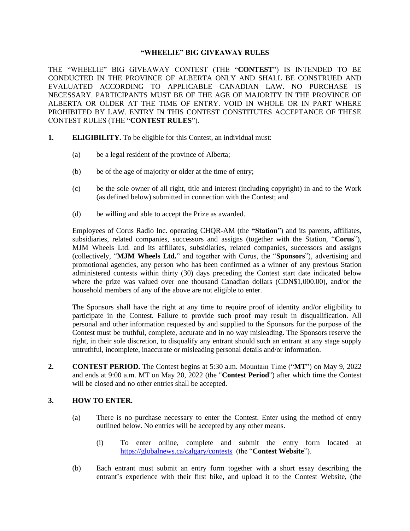#### **"WHEELIE" BIG GIVEAWAY RULES**

THE "WHEELIE" BIG GIVEAWAY CONTEST (THE "**CONTEST**") IS INTENDED TO BE CONDUCTED IN THE PROVINCE OF ALBERTA ONLY AND SHALL BE CONSTRUED AND EVALUATED ACCORDING TO APPLICABLE CANADIAN LAW. NO PURCHASE IS NECESSARY. PARTICIPANTS MUST BE OF THE AGE OF MAJORITY IN THE PROVINCE OF ALBERTA OR OLDER AT THE TIME OF ENTRY. VOID IN WHOLE OR IN PART WHERE PROHIBITED BY LAW. ENTRY IN THIS CONTEST CONSTITUTES ACCEPTANCE OF THESE CONTEST RULES (THE "**CONTEST RULES**").

- **1. ELIGIBILITY.** To be eligible for this Contest, an individual must:
	- (a) be a legal resident of the province of Alberta;
	- (b) be of the age of majority or older at the time of entry;
	- (c) be the sole owner of all right, title and interest (including copyright) in and to the Work (as defined below) submitted in connection with the Contest; and
	- (d) be willing and able to accept the Prize as awarded.

Employees of Corus Radio Inc. operating CHQR-AM (the **"Station**") and its parents, affiliates, subsidiaries, related companies, successors and assigns (together with the Station, "**Corus**"), MJM Wheels Ltd. and its affiliates, subsidiaries, related companies, successors and assigns (collectively, "**MJM Wheels Ltd.**" and together with Corus, the "**Sponsors**"), advertising and promotional agencies, any person who has been confirmed as a winner of any previous Station administered contests within thirty (30) days preceding the Contest start date indicated below where the prize was valued over one thousand Canadian dollars (CDN\$1,000.00), and/or the household members of any of the above are not eligible to enter.

The Sponsors shall have the right at any time to require proof of identity and/or eligibility to participate in the Contest. Failure to provide such proof may result in disqualification. All personal and other information requested by and supplied to the Sponsors for the purpose of the Contest must be truthful, complete, accurate and in no way misleading. The Sponsors reserve the right, in their sole discretion, to disqualify any entrant should such an entrant at any stage supply untruthful, incomplete, inaccurate or misleading personal details and/or information.

**2. CONTEST PERIOD.** The Contest begins at 5:30 a.m. Mountain Time ("**MT**") on May 9, 2022 and ends at 9:00 a.m. MT on May 20, 2022 (the "**Contest Period**") after which time the Contest will be closed and no other entries shall be accepted.

## **3. HOW TO ENTER.**

- (a) There is no purchase necessary to enter the Contest. Enter using the method of entry outlined below. No entries will be accepted by any other means.
	- (i) To enter online, complete and submit the entry form located at <https://globalnews.ca/calgary/contests> (the "**Contest Website**").
- (b) Each entrant must submit an entry form together with a short essay describing the entrant's experience with their first bike, and upload it to the Contest Website, (the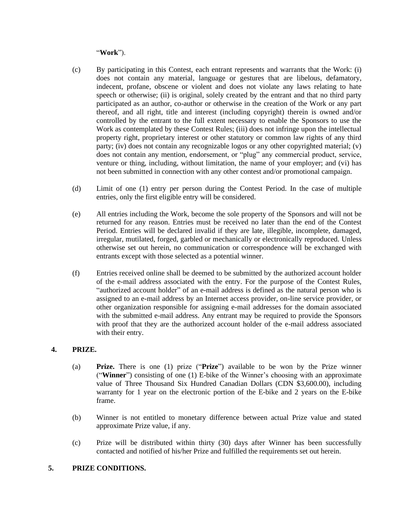## "**Work**").

- (c) By participating in this Contest, each entrant represents and warrants that the Work: (i) does not contain any material, language or gestures that are libelous, defamatory, indecent, profane, obscene or violent and does not violate any laws relating to hate speech or otherwise; (ii) is original, solely created by the entrant and that no third party participated as an author, co-author or otherwise in the creation of the Work or any part thereof, and all right, title and interest (including copyright) therein is owned and/or controlled by the entrant to the full extent necessary to enable the Sponsors to use the Work as contemplated by these Contest Rules; (iii) does not infringe upon the intellectual property right, proprietary interest or other statutory or common law rights of any third party; (iv) does not contain any recognizable logos or any other copyrighted material; (v) does not contain any mention, endorsement, or "plug" any commercial product, service, venture or thing, including, without limitation, the name of your employer; and (vi) has not been submitted in connection with any other contest and/or promotional campaign.
- (d) Limit of one (1) entry per person during the Contest Period. In the case of multiple entries, only the first eligible entry will be considered.
- (e) All entries including the Work, become the sole property of the Sponsors and will not be returned for any reason. Entries must be received no later than the end of the Contest Period. Entries will be declared invalid if they are late, illegible, incomplete, damaged, irregular, mutilated, forged, garbled or mechanically or electronically reproduced. Unless otherwise set out herein, no communication or correspondence will be exchanged with entrants except with those selected as a potential winner.
- (f) Entries received online shall be deemed to be submitted by the authorized account holder of the e-mail address associated with the entry. For the purpose of the Contest Rules, "authorized account holder" of an e-mail address is defined as the natural person who is assigned to an e-mail address by an Internet access provider, on-line service provider, or other organization responsible for assigning e-mail addresses for the domain associated with the submitted e-mail address. Any entrant may be required to provide the Sponsors with proof that they are the authorized account holder of the e-mail address associated with their entry.

## **4. PRIZE.**

- (a) **Prize.** There is one (1) prize ("**Prize**") available to be won by the Prize winner ("**Winner**") consisting of one (1) E-bike of the Winner's choosing with an approximate value of Three Thousand Six Hundred Canadian Dollars (CDN \$3,600.00), including warranty for 1 year on the electronic portion of the E-bike and 2 years on the E-bike frame.
- (b) Winner is not entitled to monetary difference between actual Prize value and stated approximate Prize value, if any.
- (c) Prize will be distributed within thirty (30) days after Winner has been successfully contacted and notified of his/her Prize and fulfilled the requirements set out herein.

# **5. PRIZE CONDITIONS.**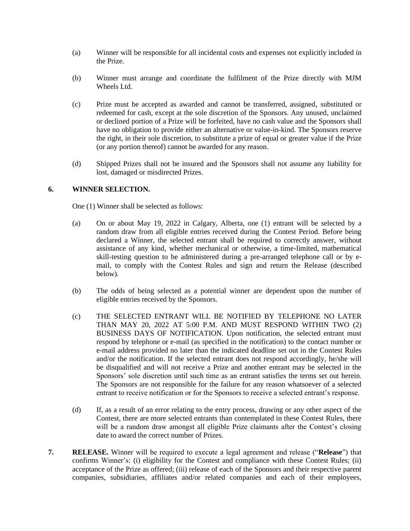- (a) Winner will be responsible for all incidental costs and expenses not explicitly included in the Prize.
- (b) Winner must arrange and coordinate the fulfilment of the Prize directly with MJM Wheels Ltd.
- (c) Prize must be accepted as awarded and cannot be transferred, assigned, substituted or redeemed for cash, except at the sole discretion of the Sponsors. Any unused, unclaimed or declined portion of a Prize will be forfeited, have no cash value and the Sponsors shall have no obligation to provide either an alternative or value-in-kind. The Sponsors reserve the right, in their sole discretion, to substitute a prize of equal or greater value if the Prize (or any portion thereof) cannot be awarded for any reason.
- (d) Shipped Prizes shall not be insured and the Sponsors shall not assume any liability for lost, damaged or misdirected Prizes.

#### **6. WINNER SELECTION.**

One (1) Winner shall be selected as follows:

- (a) On or about May 19, 2022 in Calgary, Alberta, one (1) entrant will be selected by a random draw from all eligible entries received during the Contest Period. Before being declared a Winner, the selected entrant shall be required to correctly answer, without assistance of any kind, whether mechanical or otherwise, a time-limited, mathematical skill-testing question to be administered during a pre-arranged telephone call or by email, to comply with the Contest Rules and sign and return the Release (described below).
- (b) The odds of being selected as a potential winner are dependent upon the number of eligible entries received by the Sponsors.
- (c) THE SELECTED ENTRANT WILL BE NOTIFIED BY TELEPHONE NO LATER THAN MAY 20, 2022 AT 5:00 P.M. AND MUST RESPOND WITHIN TWO (2) BUSINESS DAYS OF NOTIFICATION. Upon notification, the selected entrant must respond by telephone or e-mail (as specified in the notification) to the contact number or e-mail address provided no later than the indicated deadline set out in the Contest Rules and/or the notification. If the selected entrant does not respond accordingly, he/she will be disqualified and will not receive a Prize and another entrant may be selected in the Sponsors' sole discretion until such time as an entrant satisfies the terms set out herein. The Sponsors are not responsible for the failure for any reason whatsoever of a selected entrant to receive notification or for the Sponsors to receive a selected entrant's response.
- (d) If, as a result of an error relating to the entry process, drawing or any other aspect of the Contest, there are more selected entrants than contemplated in these Contest Rules, there will be a random draw amongst all eligible Prize claimants after the Contest's closing date to award the correct number of Prizes.
- **7. RELEASE.** Winner will be required to execute a legal agreement and release ("**Release**") that confirms Winner's: (i) eligibility for the Contest and compliance with these Contest Rules; (ii) acceptance of the Prize as offered; (iii) release of each of the Sponsors and their respective parent companies, subsidiaries, affiliates and/or related companies and each of their employees,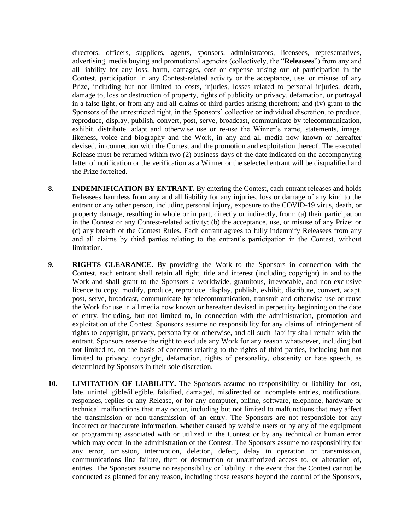directors, officers, suppliers, agents, sponsors, administrators, licensees, representatives, advertising, media buying and promotional agencies (collectively, the "**Releasees**") from any and all liability for any loss, harm, damages, cost or expense arising out of participation in the Contest, participation in any Contest-related activity or the acceptance, use, or misuse of any Prize, including but not limited to costs, injuries, losses related to personal injuries, death, damage to, loss or destruction of property, rights of publicity or privacy, defamation, or portrayal in a false light, or from any and all claims of third parties arising therefrom; and (iv) grant to the Sponsors of the unrestricted right, in the Sponsors' collective or individual discretion, to produce, reproduce, display, publish, convert, post, serve, broadcast, communicate by telecommunication, exhibit, distribute, adapt and otherwise use or re-use the Winner's name, statements, image, likeness, voice and biography and the Work, in any and all media now known or hereafter devised, in connection with the Contest and the promotion and exploitation thereof. The executed Release must be returned within two (2) business days of the date indicated on the accompanying letter of notification or the verification as a Winner or the selected entrant will be disqualified and the Prize forfeited.

- **8. INDEMNIFICATION BY ENTRANT.** By entering the Contest, each entrant releases and holds Releasees harmless from any and all liability for any injuries, loss or damage of any kind to the entrant or any other person, including personal injury, exposure to the COVID-19 virus, death, or property damage, resulting in whole or in part, directly or indirectly, from: (a) their participation in the Contest or any Contest-related activity; (b) the acceptance, use, or misuse of any Prize; or (c) any breach of the Contest Rules. Each entrant agrees to fully indemnify Releasees from any and all claims by third parties relating to the entrant's participation in the Contest, without limitation.
- **9. RIGHTS CLEARANCE**. By providing the Work to the Sponsors in connection with the Contest, each entrant shall retain all right, title and interest (including copyright) in and to the Work and shall grant to the Sponsors a worldwide, gratuitous, irrevocable, and non-exclusive licence to copy, modify, produce, reproduce, display, publish, exhibit, distribute, convert, adapt, post, serve, broadcast, communicate by telecommunication, transmit and otherwise use or reuse the Work for use in all media now known or hereafter devised in perpetuity beginning on the date of entry, including, but not limited to, in connection with the administration, promotion and exploitation of the Contest. Sponsors assume no responsibility for any claims of infringement of rights to copyright, privacy, personality or otherwise, and all such liability shall remain with the entrant. Sponsors reserve the right to exclude any Work for any reason whatsoever, including but not limited to, on the basis of concerns relating to the rights of third parties, including but not limited to privacy, copyright, defamation, rights of personality, obscenity or hate speech, as determined by Sponsors in their sole discretion.
- **10. LIMITATION OF LIABILITY.** The Sponsors assume no responsibility or liability for lost, late, unintelligible/illegible, falsified, damaged, misdirected or incomplete entries, notifications, responses, replies or any Release, or for any computer, online, software, telephone, hardware or technical malfunctions that may occur, including but not limited to malfunctions that may affect the transmission or non-transmission of an entry. The Sponsors are not responsible for any incorrect or inaccurate information, whether caused by website users or by any of the equipment or programming associated with or utilized in the Contest or by any technical or human error which may occur in the administration of the Contest. The Sponsors assume no responsibility for any error, omission, interruption, deletion, defect, delay in operation or transmission, communications line failure, theft or destruction or unauthorized access to, or alteration of, entries. The Sponsors assume no responsibility or liability in the event that the Contest cannot be conducted as planned for any reason, including those reasons beyond the control of the Sponsors,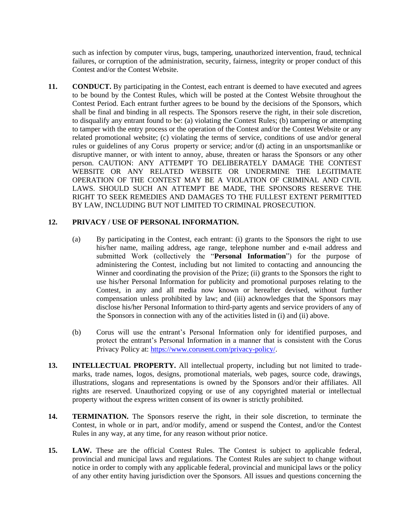such as infection by computer virus, bugs, tampering, unauthorized intervention, fraud, technical failures, or corruption of the administration, security, fairness, integrity or proper conduct of this Contest and/or the Contest Website.

**11. CONDUCT.** By participating in the Contest, each entrant is deemed to have executed and agrees to be bound by the Contest Rules, which will be posted at the Contest Website throughout the Contest Period. Each entrant further agrees to be bound by the decisions of the Sponsors, which shall be final and binding in all respects. The Sponsors reserve the right, in their sole discretion, to disqualify any entrant found to be: (a) violating the Contest Rules; (b) tampering or attempting to tamper with the entry process or the operation of the Contest and/or the Contest Website or any related promotional website; (c) violating the terms of service, conditions of use and/or general rules or guidelines of any Corus property or service; and/or (d) acting in an unsportsmanlike or disruptive manner, or with intent to annoy, abuse, threaten or harass the Sponsors or any other person. CAUTION: ANY ATTEMPT TO DELIBERATELY DAMAGE THE CONTEST WEBSITE OR ANY RELATED WEBSITE OR UNDERMINE THE LEGITIMATE OPERATION OF THE CONTEST MAY BE A VIOLATION OF CRIMINAL AND CIVIL LAWS. SHOULD SUCH AN ATTEMPT BE MADE, THE SPONSORS RESERVE THE RIGHT TO SEEK REMEDIES AND DAMAGES TO THE FULLEST EXTENT PERMITTED BY LAW, INCLUDING BUT NOT LIMITED TO CRIMINAL PROSECUTION.

#### **12. PRIVACY / USE OF PERSONAL INFORMATION.**

- (a) By participating in the Contest, each entrant: (i) grants to the Sponsors the right to use his/her name, mailing address, age range, telephone number and e-mail address and submitted Work (collectively the "**Personal Information**") for the purpose of administering the Contest, including but not limited to contacting and announcing the Winner and coordinating the provision of the Prize; (ii) grants to the Sponsors the right to use his/her Personal Information for publicity and promotional purposes relating to the Contest, in any and all media now known or hereafter devised, without further compensation unless prohibited by law; and (iii) acknowledges that the Sponsors may disclose his/her Personal Information to third-party agents and service providers of any of the Sponsors in connection with any of the activities listed in (i) and (ii) above.
- (b) Corus will use the entrant's Personal Information only for identified purposes, and protect the entrant's Personal Information in a manner that is consistent with the Corus Privacy Policy at: [https://www.corusent.com/privacy-policy/.](https://www.corusent.com/privacy-policy/)
- **13. INTELLECTUAL PROPERTY.** All intellectual property, including but not limited to trademarks, trade names, logos, designs, promotional materials, web pages, source code, drawings, illustrations, slogans and representations is owned by the Sponsors and/or their affiliates. All rights are reserved. Unauthorized copying or use of any copyrighted material or intellectual property without the express written consent of its owner is strictly prohibited.
- **14. TERMINATION.** The Sponsors reserve the right, in their sole discretion, to terminate the Contest, in whole or in part, and/or modify, amend or suspend the Contest, and/or the Contest Rules in any way, at any time, for any reason without prior notice.
- **15. LAW.** These are the official Contest Rules. The Contest is subject to applicable federal, provincial and municipal laws and regulations. The Contest Rules are subject to change without notice in order to comply with any applicable federal, provincial and municipal laws or the policy of any other entity having jurisdiction over the Sponsors. All issues and questions concerning the